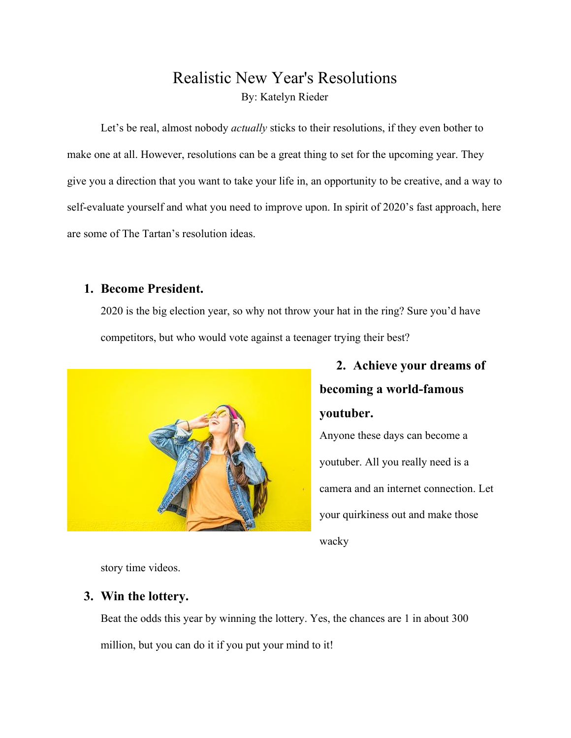## Realistic New Year's Resolutions By: Katelyn Rieder

Let's be real, almost nobody *actually* sticks to their resolutions, if they even bother to make one at all. However, resolutions can be a great thing to set for the upcoming year. They give you a direction that you want to take your life in, an opportunity to be creative, and a way to self-evaluate yourself and what you need to improve upon. In spirit of 2020's fast approach, here are some of The Tartan's resolution ideas.

#### **1. Become President.**

2020 is the big election year, so why not throw your hat in the ring? Sure you'd have competitors, but who would vote against a teenager trying their best?



# **2. Achieve your dreams of becoming a world-famous youtuber.** Anyone these days can become a

youtuber. All you really need is a camera and an internet connection. Let your quirkiness out and make those wacky

story time videos.

### **3. Win the lottery.**

Beat the odds this year by winning the lottery. Yes, the chances are 1 in about 300 million, but you can do it if you put your mind to it!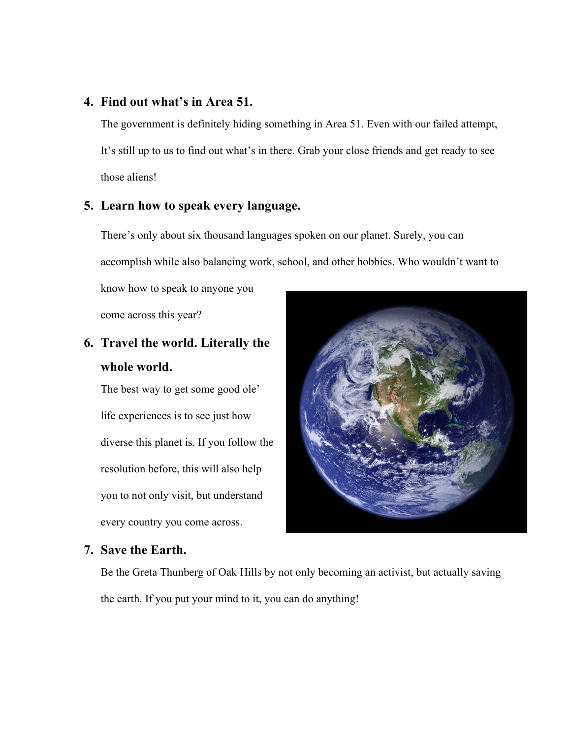#### **4. Find out what's in Area 51.**

The government is definitely hiding something in Area 51. Even with our failed attempt, It's still up to us to find out what's in there. Grab your close friends and get ready to see those aliens!

#### **5. Learn how to speak every language.**

There's only about six thousand languages spoken on our planet. Surely, you can accomplish while also balancing work, school, and other hobbies. Who wouldn't want to

know how to speak to anyone you come across this year?

## **6. Travel the world. Literally the whole world.**

The best way to get some good ole' life experiences is to see just how diverse this planet is. If you follow the resolution before, this will also help you to not only visit, but understand every country you come across.



#### **7. Save the Earth.**

Be the Greta Thunberg of Oak Hills by not only becoming an activist, but actually saving the earth. If you put your mind to it, you can do anything!